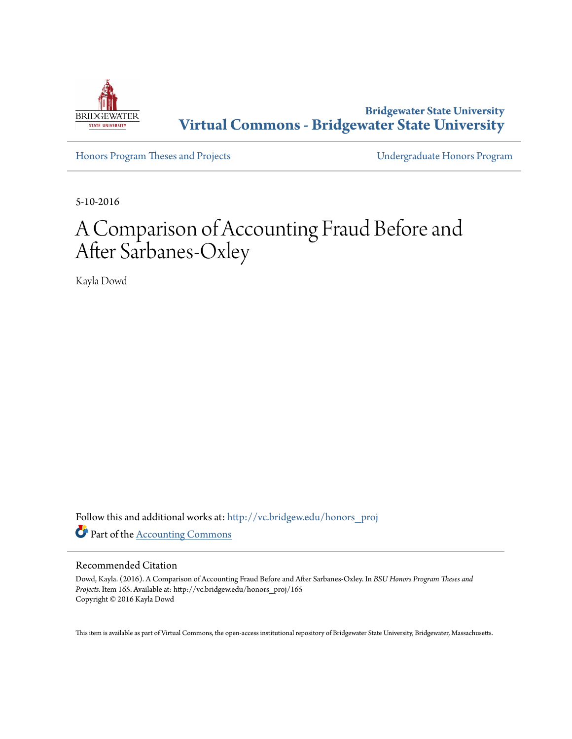

**Bridgewater State University [Virtual Commons - Bridgewater State University](http://vc.bridgew.edu?utm_source=vc.bridgew.edu%2Fhonors_proj%2F165&utm_medium=PDF&utm_campaign=PDFCoverPages)**

[Honors Program Theses and Projects](http://vc.bridgew.edu/honors_proj?utm_source=vc.bridgew.edu%2Fhonors_proj%2F165&utm_medium=PDF&utm_campaign=PDFCoverPages) [Undergraduate Honors Program](http://vc.bridgew.edu/honors?utm_source=vc.bridgew.edu%2Fhonors_proj%2F165&utm_medium=PDF&utm_campaign=PDFCoverPages)

5-10-2016

# A Comparison of Accounting Fraud Before and After Sarbanes-Oxley

Kayla Dowd

Follow this and additional works at: [http://vc.bridgew.edu/honors\\_proj](http://vc.bridgew.edu/honors_proj?utm_source=vc.bridgew.edu%2Fhonors_proj%2F165&utm_medium=PDF&utm_campaign=PDFCoverPages) Part of the [Accounting Commons](http://network.bepress.com/hgg/discipline/625?utm_source=vc.bridgew.edu%2Fhonors_proj%2F165&utm_medium=PDF&utm_campaign=PDFCoverPages)

#### Recommended Citation

Dowd, Kayla. (2016). A Comparison of Accounting Fraud Before and After Sarbanes-Oxley. In *BSU Honors Program Theses and Projects.* Item 165. Available at: http://vc.bridgew.edu/honors\_proj/165 Copyright © 2016 Kayla Dowd

This item is available as part of Virtual Commons, the open-access institutional repository of Bridgewater State University, Bridgewater, Massachusetts.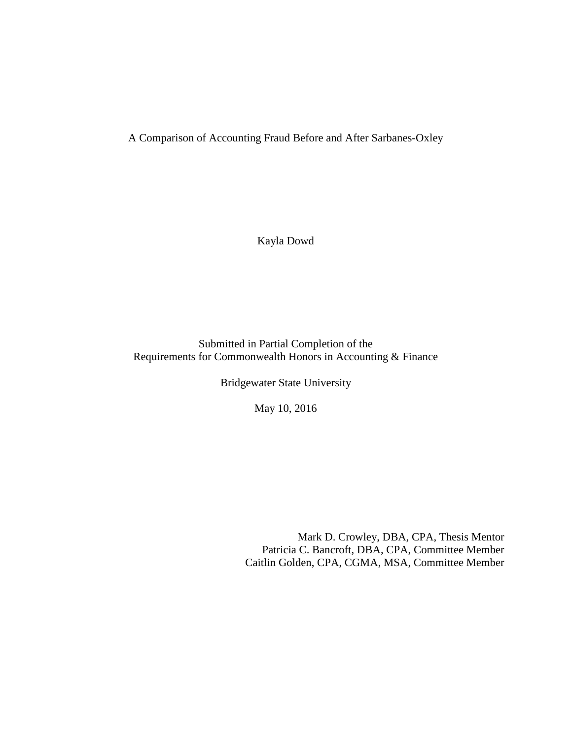A Comparison of Accounting Fraud Before and After Sarbanes-Oxley

Kayla Dowd

Submitted in Partial Completion of the Requirements for Commonwealth Honors in Accounting & Finance

Bridgewater State University

May 10, 2016

Mark D. Crowley, DBA, CPA, Thesis Mentor Patricia C. Bancroft, DBA, CPA, Committee Member Caitlin Golden, CPA, CGMA, MSA, Committee Member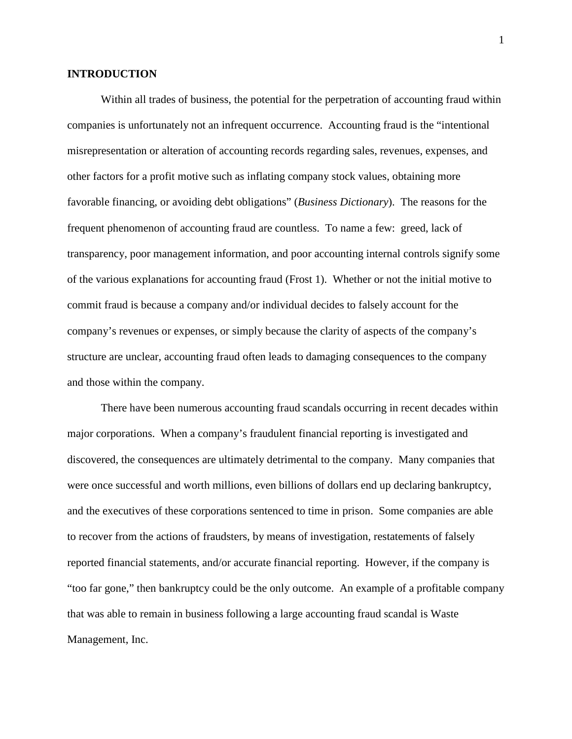#### **INTRODUCTION**

Within all trades of business, the potential for the perpetration of accounting fraud within companies is unfortunately not an infrequent occurrence. Accounting fraud is the "intentional misrepresentation or alteration of accounting records regarding sales, revenues, expenses, and other factors for a profit motive such as inflating company stock values, obtaining more favorable financing, or avoiding debt obligations" (*Business Dictionary*). The reasons for the frequent phenomenon of accounting fraud are countless. To name a few: greed, lack of transparency, poor management information, and poor accounting internal controls signify some of the various explanations for accounting fraud (Frost 1). Whether or not the initial motive to commit fraud is because a company and/or individual decides to falsely account for the company's revenues or expenses, or simply because the clarity of aspects of the company's structure are unclear, accounting fraud often leads to damaging consequences to the company and those within the company.

There have been numerous accounting fraud scandals occurring in recent decades within major corporations. When a company's fraudulent financial reporting is investigated and discovered, the consequences are ultimately detrimental to the company. Many companies that were once successful and worth millions, even billions of dollars end up declaring bankruptcy, and the executives of these corporations sentenced to time in prison. Some companies are able to recover from the actions of fraudsters, by means of investigation, restatements of falsely reported financial statements, and/or accurate financial reporting. However, if the company is "too far gone," then bankruptcy could be the only outcome. An example of a profitable company that was able to remain in business following a large accounting fraud scandal is Waste Management, Inc.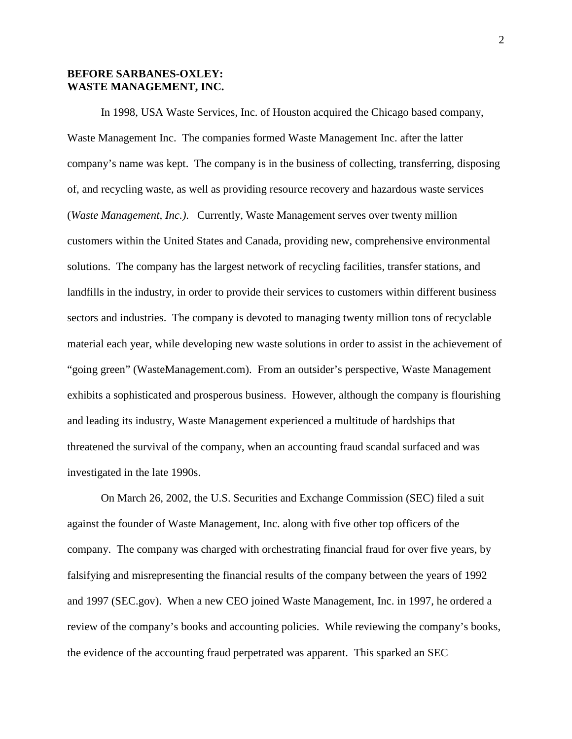# **BEFORE SARBANES-OXLEY: WASTE MANAGEMENT, INC.**

In 1998, USA Waste Services, Inc. of Houston acquired the Chicago based company, Waste Management Inc. The companies formed Waste Management Inc. after the latter company's name was kept. The company is in the business of collecting, transferring, disposing of, and recycling waste, as well as providing resource recovery and hazardous waste services (*Waste Management, Inc.)*. Currently, Waste Management serves over twenty million customers within the United States and Canada, providing new, comprehensive environmental solutions. The company has the largest network of recycling facilities, transfer stations, and landfills in the industry, in order to provide their services to customers within different business sectors and industries. The company is devoted to managing twenty million tons of recyclable material each year, while developing new waste solutions in order to assist in the achievement of "going green" (WasteManagement.com). From an outsider's perspective, Waste Management exhibits a sophisticated and prosperous business. However, although the company is flourishing and leading its industry, Waste Management experienced a multitude of hardships that threatened the survival of the company, when an accounting fraud scandal surfaced and was investigated in the late 1990s.

On March 26, 2002, the U.S. Securities and Exchange Commission (SEC) filed a suit against the founder of Waste Management, Inc. along with five other top officers of the company. The company was charged with orchestrating financial fraud for over five years, by falsifying and misrepresenting the financial results of the company between the years of 1992 and 1997 (SEC.gov). When a new CEO joined Waste Management, Inc. in 1997, he ordered a review of the company's books and accounting policies. While reviewing the company's books, the evidence of the accounting fraud perpetrated was apparent. This sparked an SEC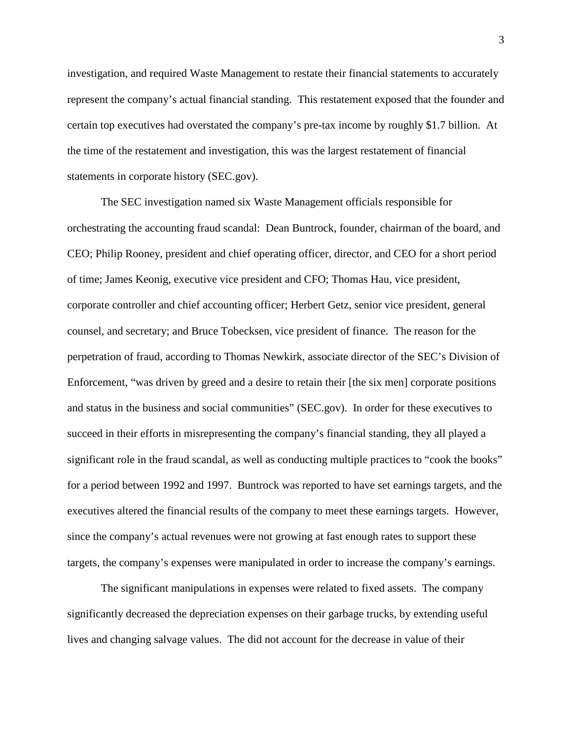investigation, and required Waste Management to restate their financial statements to accurately represent the company's actual financial standing. This restatement exposed that the founder and certain top executives had overstated the company's pre-tax income by roughly \$1.7 billion. At the time of the restatement and investigation, this was the largest restatement of financial statements in corporate history (SEC.gov).

The SEC investigation named six Waste Management officials responsible for orchestrating the accounting fraud scandal: Dean Buntrock, founder, chairman of the board, and CEO; Philip Rooney, president and chief operating officer, director, and CEO for a short period of time; James Keonig, executive vice president and CFO; Thomas Hau, vice president, corporate controller and chief accounting officer; Herbert Getz, senior vice president, general counsel, and secretary; and Bruce Tobecksen, vice president of finance. The reason for the perpetration of fraud, according to Thomas Newkirk, associate director of the SEC's Division of Enforcement, "was driven by greed and a desire to retain their [the six men] corporate positions and status in the business and social communities" (SEC.gov). In order for these executives to succeed in their efforts in misrepresenting the company's financial standing, they all played a significant role in the fraud scandal, as well as conducting multiple practices to "cook the books" for a period between 1992 and 1997. Buntrock was reported to have set earnings targets, and the executives altered the financial results of the company to meet these earnings targets. However, since the company's actual revenues were not growing at fast enough rates to support these targets, the company's expenses were manipulated in order to increase the company's earnings.

The significant manipulations in expenses were related to fixed assets. The company significantly decreased the depreciation expenses on their garbage trucks, by extending useful lives and changing salvage values. The did not account for the decrease in value of their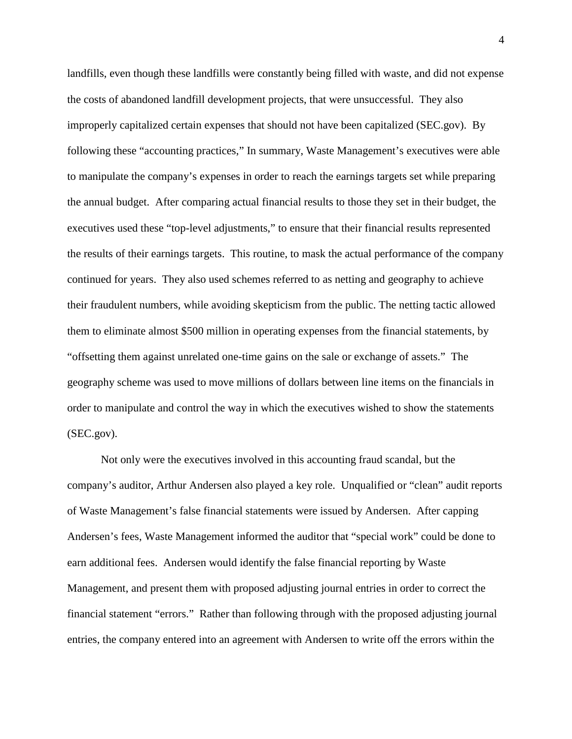landfills, even though these landfills were constantly being filled with waste, and did not expense the costs of abandoned landfill development projects, that were unsuccessful. They also improperly capitalized certain expenses that should not have been capitalized (SEC.gov). By following these "accounting practices," In summary, Waste Management's executives were able to manipulate the company's expenses in order to reach the earnings targets set while preparing the annual budget. After comparing actual financial results to those they set in their budget, the executives used these "top-level adjustments," to ensure that their financial results represented the results of their earnings targets. This routine, to mask the actual performance of the company continued for years. They also used schemes referred to as netting and geography to achieve their fraudulent numbers, while avoiding skepticism from the public. The netting tactic allowed them to eliminate almost \$500 million in operating expenses from the financial statements, by "offsetting them against unrelated one-time gains on the sale or exchange of assets." The geography scheme was used to move millions of dollars between line items on the financials in order to manipulate and control the way in which the executives wished to show the statements (SEC.gov).

Not only were the executives involved in this accounting fraud scandal, but the company's auditor, Arthur Andersen also played a key role. Unqualified or "clean" audit reports of Waste Management's false financial statements were issued by Andersen. After capping Andersen's fees, Waste Management informed the auditor that "special work" could be done to earn additional fees. Andersen would identify the false financial reporting by Waste Management, and present them with proposed adjusting journal entries in order to correct the financial statement "errors." Rather than following through with the proposed adjusting journal entries, the company entered into an agreement with Andersen to write off the errors within the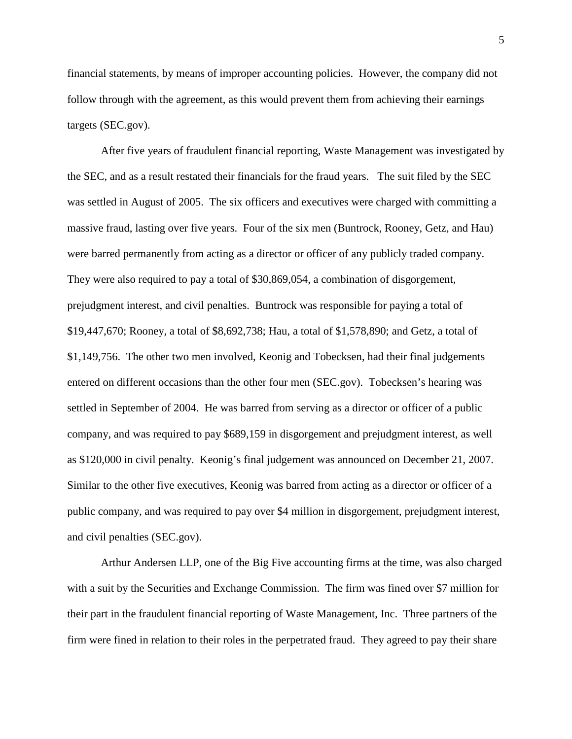financial statements, by means of improper accounting policies. However, the company did not follow through with the agreement, as this would prevent them from achieving their earnings targets (SEC.gov).

After five years of fraudulent financial reporting, Waste Management was investigated by the SEC, and as a result restated their financials for the fraud years. The suit filed by the SEC was settled in August of 2005. The six officers and executives were charged with committing a massive fraud, lasting over five years. Four of the six men (Buntrock, Rooney, Getz, and Hau) were barred permanently from acting as a director or officer of any publicly traded company. They were also required to pay a total of \$30,869,054, a combination of disgorgement, prejudgment interest, and civil penalties. Buntrock was responsible for paying a total of \$19,447,670; Rooney, a total of \$8,692,738; Hau, a total of \$1,578,890; and Getz, a total of \$1,149,756. The other two men involved, Keonig and Tobecksen, had their final judgements entered on different occasions than the other four men (SEC.gov). Tobecksen's hearing was settled in September of 2004. He was barred from serving as a director or officer of a public company, and was required to pay \$689,159 in disgorgement and prejudgment interest, as well as \$120,000 in civil penalty. Keonig's final judgement was announced on December 21, 2007. Similar to the other five executives, Keonig was barred from acting as a director or officer of a public company, and was required to pay over \$4 million in disgorgement, prejudgment interest, and civil penalties (SEC.gov).

Arthur Andersen LLP, one of the Big Five accounting firms at the time, was also charged with a suit by the Securities and Exchange Commission. The firm was fined over \$7 million for their part in the fraudulent financial reporting of Waste Management, Inc. Three partners of the firm were fined in relation to their roles in the perpetrated fraud. They agreed to pay their share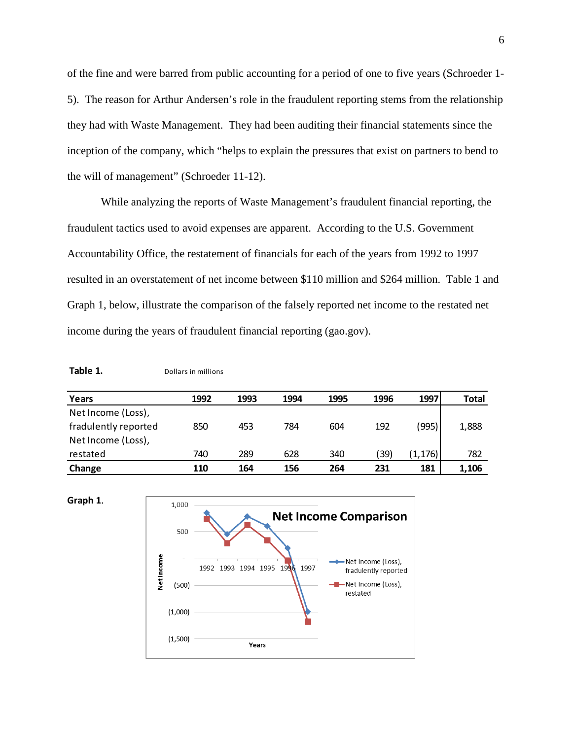of the fine and were barred from public accounting for a period of one to five years (Schroeder 1- 5). The reason for Arthur Andersen's role in the fraudulent reporting stems from the relationship they had with Waste Management. They had been auditing their financial statements since the inception of the company, which "helps to explain the pressures that exist on partners to bend to the will of management" (Schroeder 11-12).

While analyzing the reports of Waste Management's fraudulent financial reporting, the fraudulent tactics used to avoid expenses are apparent. According to the U.S. Government Accountability Office, the restatement of financials for each of the years from 1992 to 1997 resulted in an overstatement of net income between \$110 million and \$264 million. Table 1 and Graph 1, below, illustrate the comparison of the falsely reported net income to the restated net income during the years of fraudulent financial reporting (gao.gov).

**Table 1.** Dollars in millions

| Years                | 1992 | 1993 | 1994 | 1995 | 1996 | 1997     | <b>Total</b> |
|----------------------|------|------|------|------|------|----------|--------------|
| Net Income (Loss),   |      |      |      |      |      |          |              |
| fradulently reported | 850  | 453  | 784  | 604  | 192  | (995)    | 1,888        |
| Net Income (Loss),   |      |      |      |      |      |          |              |
| restated             | 740  | 289  | 628  | 340  | 39)  | (1, 176) | 782          |
| Change               | 110  | 164  | 156  | 264  | 231  | 181      | 1,106        |

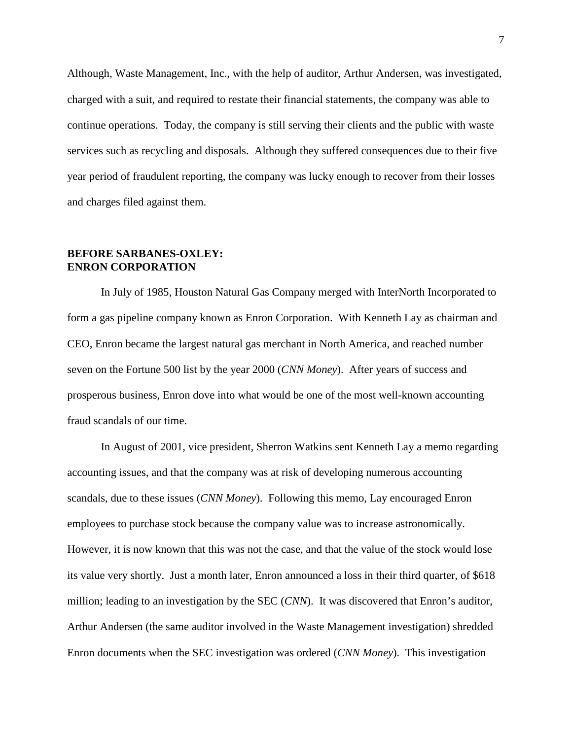Although, Waste Management, Inc., with the help of auditor, Arthur Andersen, was investigated, charged with a suit, and required to restate their financial statements, the company was able to continue operations. Today, the company is still serving their clients and the public with waste services such as recycling and disposals. Although they suffered consequences due to their five year period of fraudulent reporting, the company was lucky enough to recover from their losses and charges filed against them.

# **BEFORE SARBANES-OXLEY: ENRON CORPORATION**

In July of 1985, Houston Natural Gas Company merged with InterNorth Incorporated to form a gas pipeline company known as Enron Corporation. With Kenneth Lay as chairman and CEO, Enron became the largest natural gas merchant in North America, and reached number seven on the Fortune 500 list by the year 2000 (*CNN Money*). After years of success and prosperous business, Enron dove into what would be one of the most well-known accounting fraud scandals of our time.

In August of 2001, vice president, Sherron Watkins sent Kenneth Lay a memo regarding accounting issues, and that the company was at risk of developing numerous accounting scandals, due to these issues (*CNN Money*). Following this memo, Lay encouraged Enron employees to purchase stock because the company value was to increase astronomically. However, it is now known that this was not the case, and that the value of the stock would lose its value very shortly. Just a month later, Enron announced a loss in their third quarter, of \$618 million; leading to an investigation by the SEC (*CNN*). It was discovered that Enron's auditor, Arthur Andersen (the same auditor involved in the Waste Management investigation) shredded Enron documents when the SEC investigation was ordered (*CNN Money*). This investigation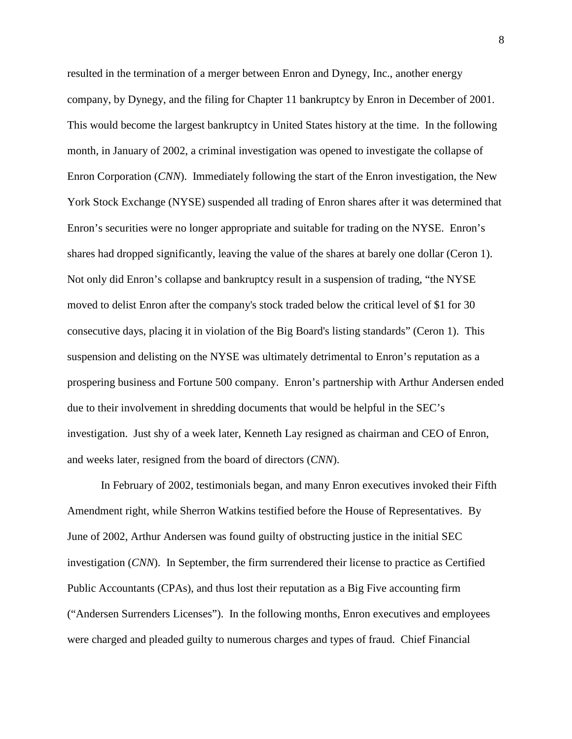resulted in the termination of a merger between Enron and Dynegy, Inc., another energy company, by Dynegy, and the filing for Chapter 11 bankruptcy by Enron in December of 2001. This would become the largest bankruptcy in United States history at the time. In the following month, in January of 2002, a criminal investigation was opened to investigate the collapse of Enron Corporation (*CNN*). Immediately following the start of the Enron investigation, the New York Stock Exchange (NYSE) suspended all trading of Enron shares after it was determined that Enron's securities were no longer appropriate and suitable for trading on the NYSE. Enron's shares had dropped significantly, leaving the value of the shares at barely one dollar (Ceron 1). Not only did Enron's collapse and bankruptcy result in a suspension of trading, "the NYSE moved to delist Enron after the company's stock traded below the critical level of \$1 for 30 consecutive days, placing it in violation of the Big Board's listing standards" (Ceron 1). This suspension and delisting on the NYSE was ultimately detrimental to Enron's reputation as a prospering business and Fortune 500 company. Enron's partnership with Arthur Andersen ended due to their involvement in shredding documents that would be helpful in the SEC's investigation. Just shy of a week later, Kenneth Lay resigned as chairman and CEO of Enron, and weeks later, resigned from the board of directors (*CNN*).

In February of 2002, testimonials began, and many Enron executives invoked their Fifth Amendment right, while Sherron Watkins testified before the House of Representatives. By June of 2002, Arthur Andersen was found guilty of obstructing justice in the initial SEC investigation (*CNN*). In September, the firm surrendered their license to practice as Certified Public Accountants (CPAs), and thus lost their reputation as a Big Five accounting firm ("Andersen Surrenders Licenses"). In the following months, Enron executives and employees were charged and pleaded guilty to numerous charges and types of fraud. Chief Financial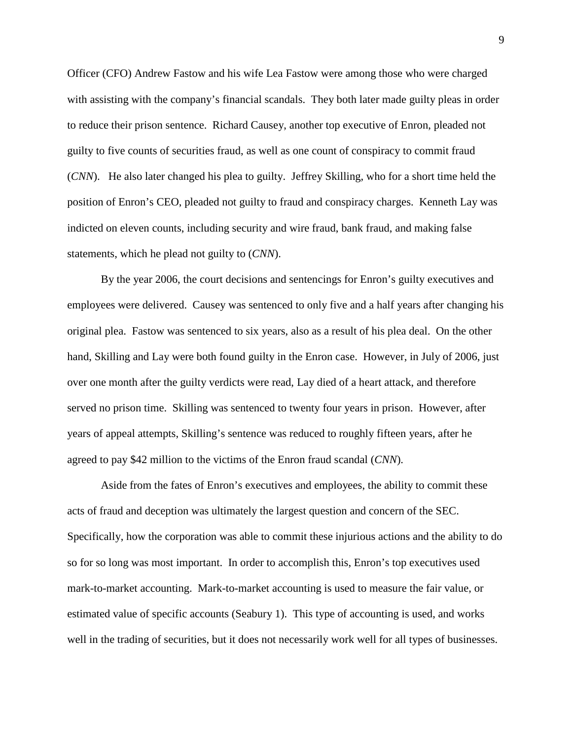Officer (CFO) Andrew Fastow and his wife Lea Fastow were among those who were charged with assisting with the company's financial scandals. They both later made guilty pleas in order to reduce their prison sentence. Richard Causey, another top executive of Enron, pleaded not guilty to five counts of securities fraud, as well as one count of conspiracy to commit fraud (*CNN*). He also later changed his plea to guilty. Jeffrey Skilling, who for a short time held the position of Enron's CEO, pleaded not guilty to fraud and conspiracy charges. Kenneth Lay was indicted on eleven counts, including security and wire fraud, bank fraud, and making false statements, which he plead not guilty to (*CNN*).

By the year 2006, the court decisions and sentencings for Enron's guilty executives and employees were delivered. Causey was sentenced to only five and a half years after changing his original plea. Fastow was sentenced to six years, also as a result of his plea deal. On the other hand, Skilling and Lay were both found guilty in the Enron case. However, in July of 2006, just over one month after the guilty verdicts were read, Lay died of a heart attack, and therefore served no prison time. Skilling was sentenced to twenty four years in prison. However, after years of appeal attempts, Skilling's sentence was reduced to roughly fifteen years, after he agreed to pay \$42 million to the victims of the Enron fraud scandal (*CNN*).

Aside from the fates of Enron's executives and employees, the ability to commit these acts of fraud and deception was ultimately the largest question and concern of the SEC. Specifically, how the corporation was able to commit these injurious actions and the ability to do so for so long was most important. In order to accomplish this, Enron's top executives used mark-to-market accounting. Mark-to-market accounting is used to measure the fair value, or estimated value of specific accounts (Seabury 1). This type of accounting is used, and works well in the trading of securities, but it does not necessarily work well for all types of businesses.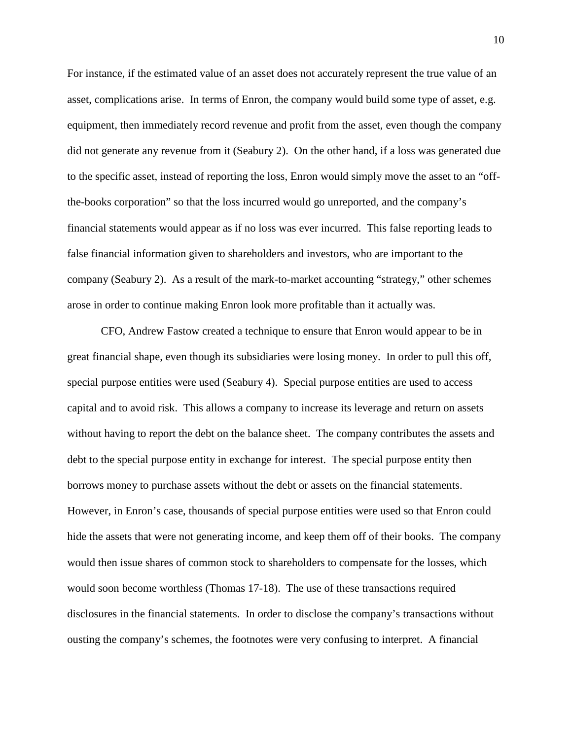For instance, if the estimated value of an asset does not accurately represent the true value of an asset, complications arise. In terms of Enron, the company would build some type of asset, e.g. equipment, then immediately record revenue and profit from the asset, even though the company did not generate any revenue from it (Seabury 2). On the other hand, if a loss was generated due to the specific asset, instead of reporting the loss, Enron would simply move the asset to an "offthe-books corporation" so that the loss incurred would go unreported, and the company's financial statements would appear as if no loss was ever incurred. This false reporting leads to false financial information given to shareholders and investors, who are important to the company (Seabury 2). As a result of the mark-to-market accounting "strategy," other schemes arose in order to continue making Enron look more profitable than it actually was.

CFO, Andrew Fastow created a technique to ensure that Enron would appear to be in great financial shape, even though its subsidiaries were losing money. In order to pull this off, special purpose entities were used (Seabury 4). Special purpose entities are used to access capital and to avoid risk. This allows a company to increase its leverage and return on assets without having to report the debt on the balance sheet. The company contributes the assets and debt to the special purpose entity in exchange for interest. The special purpose entity then borrows money to purchase assets without the debt or assets on the financial statements. However, in Enron's case, thousands of special purpose entities were used so that Enron could hide the assets that were not generating income, and keep them off of their books. The company would then issue shares of common stock to shareholders to compensate for the losses, which would soon become worthless (Thomas 17-18). The use of these transactions required disclosures in the financial statements. In order to disclose the company's transactions without ousting the company's schemes, the footnotes were very confusing to interpret. A financial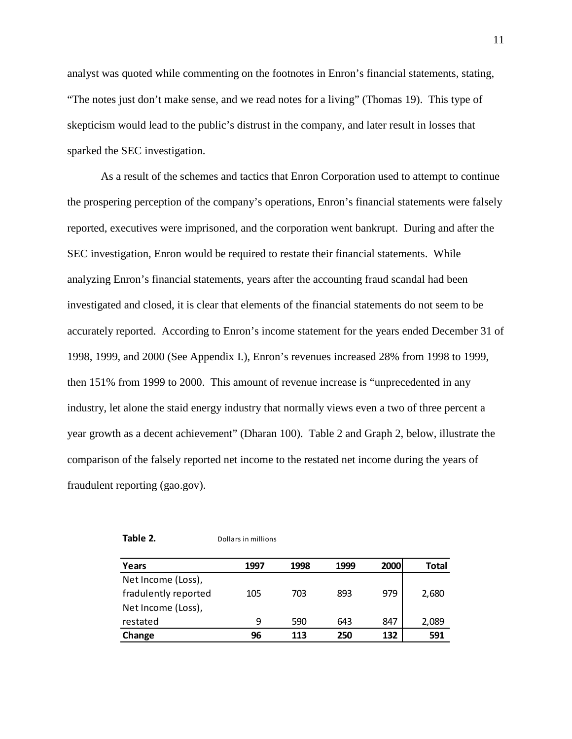analyst was quoted while commenting on the footnotes in Enron's financial statements, stating, "The notes just don't make sense, and we read notes for a living" (Thomas 19). This type of skepticism would lead to the public's distrust in the company, and later result in losses that sparked the SEC investigation.

As a result of the schemes and tactics that Enron Corporation used to attempt to continue the prospering perception of the company's operations, Enron's financial statements were falsely reported, executives were imprisoned, and the corporation went bankrupt. During and after the SEC investigation, Enron would be required to restate their financial statements. While analyzing Enron's financial statements, years after the accounting fraud scandal had been investigated and closed, it is clear that elements of the financial statements do not seem to be accurately reported. According to Enron's income statement for the years ended December 31 of 1998, 1999, and 2000 (See Appendix I.), Enron's revenues increased 28% from 1998 to 1999, then 151% from 1999 to 2000. This amount of revenue increase is "unprecedented in any industry, let alone the staid energy industry that normally views even a two of three percent a year growth as a decent achievement" (Dharan 100). Table 2 and Graph 2, below, illustrate the comparison of the falsely reported net income to the restated net income during the years of fraudulent reporting (gao.gov).

| Table |  |
|-------|--|
|-------|--|

**Table 2.** Dollars in millions

| Years                | 1997 | 1998 | 1999 | 2000 | Total |
|----------------------|------|------|------|------|-------|
| Net Income (Loss),   |      |      |      |      |       |
| fradulently reported | 105  | 703  | 893  | 979  | 2,680 |
| Net Income (Loss),   |      |      |      |      |       |
| restated             | q    | 590  | 643  | 847  | 2,089 |
| Change               | 96   | 113  | 250  | 132  | 591   |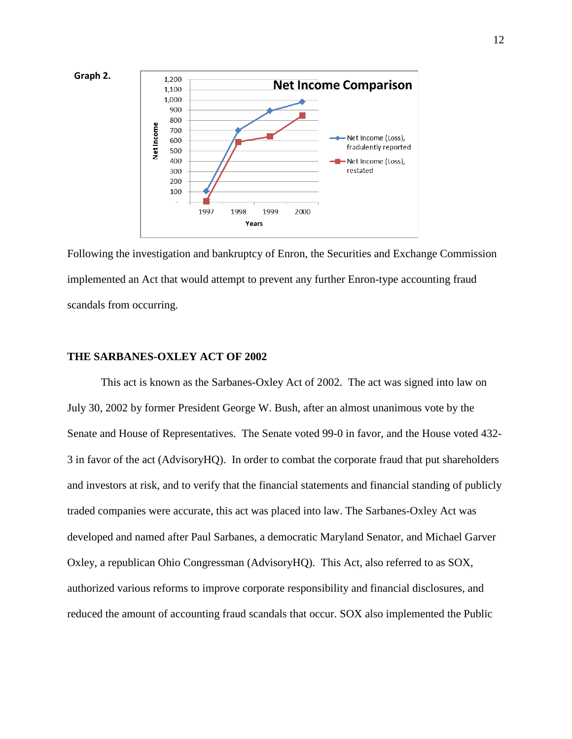

Following the investigation and bankruptcy of Enron, the Securities and Exchange Commission implemented an Act that would attempt to prevent any further Enron-type accounting fraud scandals from occurring.

#### **THE SARBANES-OXLEY ACT OF 2002**

This act is known as the Sarbanes-Oxley Act of 2002. The act was signed into law on July 30, 2002 by former President George W. Bush, after an almost unanimous vote by the Senate and House of Representatives. The Senate voted 99-0 in favor, and the House voted 432- 3 in favor of the act (AdvisoryHQ). In order to combat the corporate fraud that put shareholders and investors at risk, and to verify that the financial statements and financial standing of publicly traded companies were accurate, this act was placed into law. The Sarbanes-Oxley Act was developed and named after Paul Sarbanes, a democratic Maryland Senator, and Michael Garver Oxley, a republican Ohio Congressman (AdvisoryHQ). This Act, also referred to as SOX, authorized various reforms to improve corporate responsibility and financial disclosures, and reduced the amount of accounting fraud scandals that occur. SOX also implemented the Public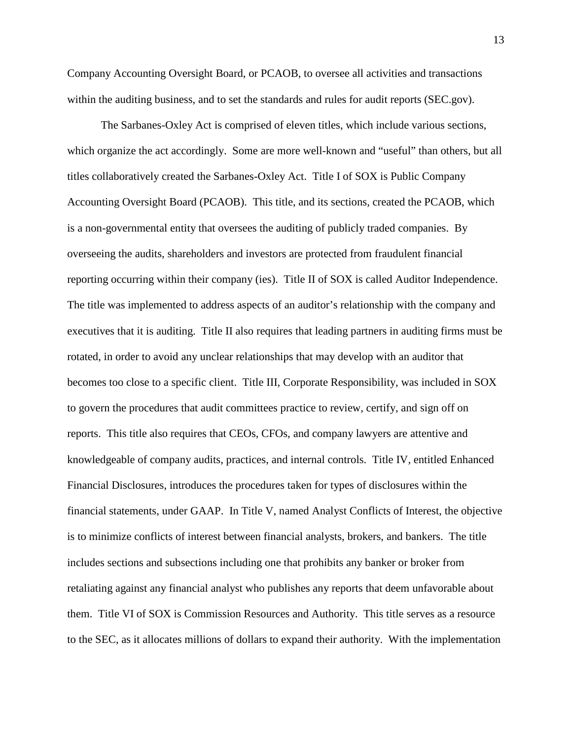Company Accounting Oversight Board, or PCAOB, to oversee all activities and transactions within the auditing business, and to set the standards and rules for audit reports (SEC.gov).

The Sarbanes-Oxley Act is comprised of eleven titles, which include various sections, which organize the act accordingly. Some are more well-known and "useful" than others, but all titles collaboratively created the Sarbanes-Oxley Act. Title I of SOX is Public Company Accounting Oversight Board (PCAOB). This title, and its sections, created the PCAOB, which is a non-governmental entity that oversees the auditing of publicly traded companies. By overseeing the audits, shareholders and investors are protected from fraudulent financial reporting occurring within their company (ies). Title II of SOX is called Auditor Independence. The title was implemented to address aspects of an auditor's relationship with the company and executives that it is auditing. Title II also requires that leading partners in auditing firms must be rotated, in order to avoid any unclear relationships that may develop with an auditor that becomes too close to a specific client. Title III, Corporate Responsibility, was included in SOX to govern the procedures that audit committees practice to review, certify, and sign off on reports. This title also requires that CEOs, CFOs, and company lawyers are attentive and knowledgeable of company audits, practices, and internal controls. Title IV, entitled Enhanced Financial Disclosures, introduces the procedures taken for types of disclosures within the financial statements, under GAAP. In Title V, named Analyst Conflicts of Interest, the objective is to minimize conflicts of interest between financial analysts, brokers, and bankers. The title includes sections and subsections including one that prohibits any banker or broker from retaliating against any financial analyst who publishes any reports that deem unfavorable about them. Title VI of SOX is Commission Resources and Authority. This title serves as a resource to the SEC, as it allocates millions of dollars to expand their authority. With the implementation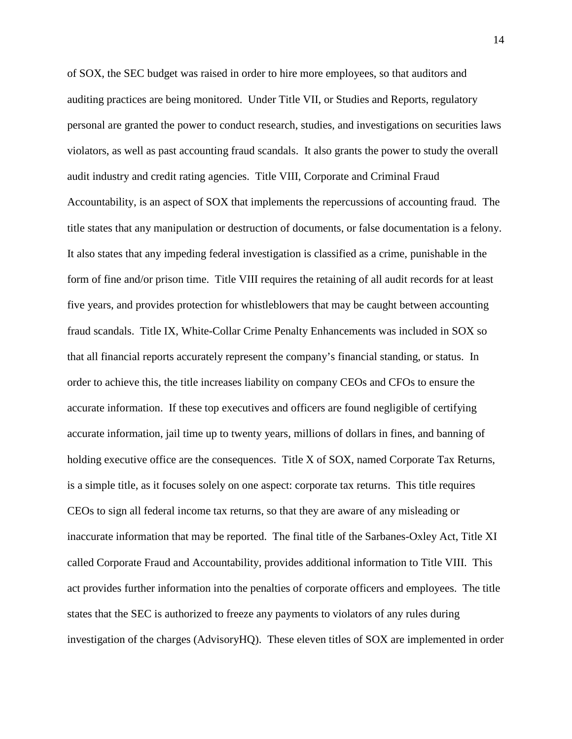of SOX, the SEC budget was raised in order to hire more employees, so that auditors and auditing practices are being monitored. Under Title VII, or Studies and Reports, regulatory personal are granted the power to conduct research, studies, and investigations on securities laws violators, as well as past accounting fraud scandals. It also grants the power to study the overall audit industry and credit rating agencies. Title VIII, Corporate and Criminal Fraud Accountability, is an aspect of SOX that implements the repercussions of accounting fraud. The title states that any manipulation or destruction of documents, or false documentation is a felony. It also states that any impeding federal investigation is classified as a crime, punishable in the form of fine and/or prison time. Title VIII requires the retaining of all audit records for at least five years, and provides protection for whistleblowers that may be caught between accounting fraud scandals. Title IX, White-Collar Crime Penalty Enhancements was included in SOX so that all financial reports accurately represent the company's financial standing, or status. In order to achieve this, the title increases liability on company CEOs and CFOs to ensure the accurate information. If these top executives and officers are found negligible of certifying accurate information, jail time up to twenty years, millions of dollars in fines, and banning of holding executive office are the consequences. Title X of SOX, named Corporate Tax Returns, is a simple title, as it focuses solely on one aspect: corporate tax returns. This title requires CEOs to sign all federal income tax returns, so that they are aware of any misleading or inaccurate information that may be reported. The final title of the Sarbanes-Oxley Act, Title XI called Corporate Fraud and Accountability, provides additional information to Title VIII. This act provides further information into the penalties of corporate officers and employees. The title states that the SEC is authorized to freeze any payments to violators of any rules during investigation of the charges (AdvisoryHQ). These eleven titles of SOX are implemented in order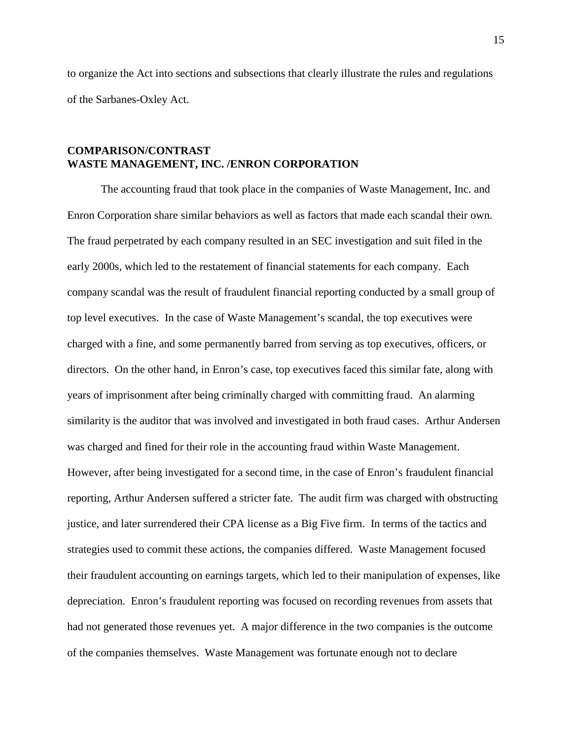to organize the Act into sections and subsections that clearly illustrate the rules and regulations of the Sarbanes-Oxley Act.

# **COMPARISON/CONTRAST WASTE MANAGEMENT, INC. /ENRON CORPORATION**

The accounting fraud that took place in the companies of Waste Management, Inc. and Enron Corporation share similar behaviors as well as factors that made each scandal their own. The fraud perpetrated by each company resulted in an SEC investigation and suit filed in the early 2000s, which led to the restatement of financial statements for each company. Each company scandal was the result of fraudulent financial reporting conducted by a small group of top level executives. In the case of Waste Management's scandal, the top executives were charged with a fine, and some permanently barred from serving as top executives, officers, or directors. On the other hand, in Enron's case, top executives faced this similar fate, along with years of imprisonment after being criminally charged with committing fraud. An alarming similarity is the auditor that was involved and investigated in both fraud cases. Arthur Andersen was charged and fined for their role in the accounting fraud within Waste Management. However, after being investigated for a second time, in the case of Enron's fraudulent financial reporting, Arthur Andersen suffered a stricter fate. The audit firm was charged with obstructing justice, and later surrendered their CPA license as a Big Five firm. In terms of the tactics and strategies used to commit these actions, the companies differed. Waste Management focused their fraudulent accounting on earnings targets, which led to their manipulation of expenses, like depreciation. Enron's fraudulent reporting was focused on recording revenues from assets that had not generated those revenues yet. A major difference in the two companies is the outcome of the companies themselves. Waste Management was fortunate enough not to declare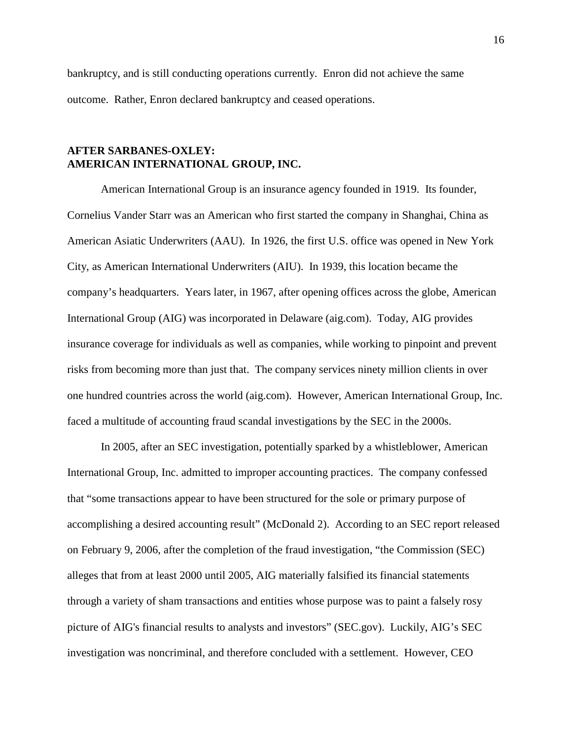bankruptcy, and is still conducting operations currently. Enron did not achieve the same outcome. Rather, Enron declared bankruptcy and ceased operations.

### **AFTER SARBANES-OXLEY: AMERICAN INTERNATIONAL GROUP, INC.**

American International Group is an insurance agency founded in 1919. Its founder, Cornelius Vander Starr was an American who first started the company in Shanghai, China as American Asiatic Underwriters (AAU). In 1926, the first U.S. office was opened in New York City, as American International Underwriters (AIU). In 1939, this location became the company's headquarters. Years later, in 1967, after opening offices across the globe, American International Group (AIG) was incorporated in Delaware (aig.com). Today, AIG provides insurance coverage for individuals as well as companies, while working to pinpoint and prevent risks from becoming more than just that. The company services ninety million clients in over one hundred countries across the world (aig.com). However, American International Group, Inc. faced a multitude of accounting fraud scandal investigations by the SEC in the 2000s.

In 2005, after an SEC investigation, potentially sparked by a whistleblower, American International Group, Inc. admitted to improper accounting practices. The company confessed that "some transactions appear to have been structured for the sole or primary purpose of accomplishing a desired accounting result" (McDonald 2). According to an SEC report released on February 9, 2006, after the completion of the fraud investigation, "the Commission (SEC) alleges that from at least 2000 until 2005, AIG materially falsified its financial statements through a variety of sham transactions and entities whose purpose was to paint a falsely rosy picture of AIG's financial results to analysts and investors" (SEC.gov). Luckily, AIG's SEC investigation was noncriminal, and therefore concluded with a settlement. However, CEO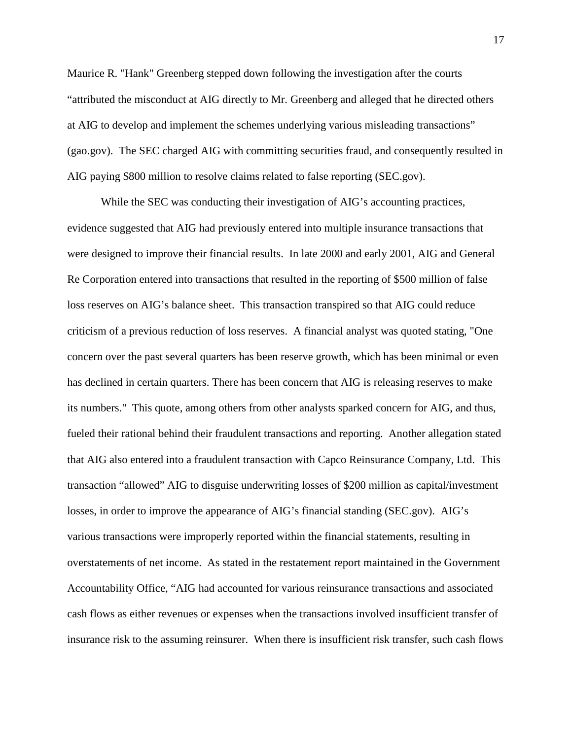Maurice R. "Hank" Greenberg stepped down following the investigation after the courts "attributed the misconduct at AIG directly to Mr. Greenberg and alleged that he directed others at AIG to develop and implement the schemes underlying various misleading transactions" (gao.gov). The SEC charged AIG with committing securities fraud, and consequently resulted in AIG paying \$800 million to resolve claims related to false reporting (SEC.gov).

While the SEC was conducting their investigation of AIG's accounting practices, evidence suggested that AIG had previously entered into multiple insurance transactions that were designed to improve their financial results. In late 2000 and early 2001, AIG and General Re Corporation entered into transactions that resulted in the reporting of \$500 million of false loss reserves on AIG's balance sheet. This transaction transpired so that AIG could reduce criticism of a previous reduction of loss reserves. A financial analyst was quoted stating, "One concern over the past several quarters has been reserve growth, which has been minimal or even has declined in certain quarters. There has been concern that AIG is releasing reserves to make its numbers." This quote, among others from other analysts sparked concern for AIG, and thus, fueled their rational behind their fraudulent transactions and reporting. Another allegation stated that AIG also entered into a fraudulent transaction with Capco Reinsurance Company, Ltd. This transaction "allowed" AIG to disguise underwriting losses of \$200 million as capital/investment losses, in order to improve the appearance of AIG's financial standing (SEC.gov). AIG's various transactions were improperly reported within the financial statements, resulting in overstatements of net income. As stated in the restatement report maintained in the Government Accountability Office, "AIG had accounted for various reinsurance transactions and associated cash flows as either revenues or expenses when the transactions involved insufficient transfer of insurance risk to the assuming reinsurer. When there is insufficient risk transfer, such cash flows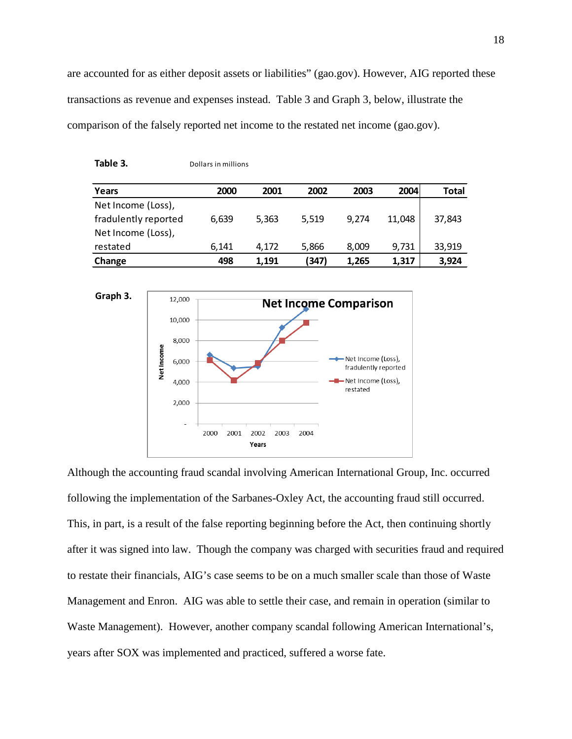are accounted for as either deposit assets or liabilities" (gao.gov). However, AIG reported these transactions as revenue and expenses instead. Table 3 and Graph 3, below, illustrate the comparison of the falsely reported net income to the restated net income (gao.gov).

| Years                | 2000  | 2001  | 2002  | 2003  | 2004   | <b>Total</b> |
|----------------------|-------|-------|-------|-------|--------|--------------|
| Net Income (Loss),   |       |       |       |       |        |              |
| fradulently reported | 6,639 | 5,363 | 5,519 | 9.274 | 11.048 | 37,843       |
| Net Income (Loss),   |       |       |       |       |        |              |
| restated             | 6.141 | 4.172 | 5,866 | 8,009 | 9,731  | 33,919       |
| Change               | 498   | 1.191 | (347) | 1.265 | 1,317  | 3,924        |

**Table 3.** Dollars in millions



Although the accounting fraud scandal involving American International Group, Inc. occurred following the implementation of the Sarbanes-Oxley Act, the accounting fraud still occurred. This, in part, is a result of the false reporting beginning before the Act, then continuing shortly after it was signed into law. Though the company was charged with securities fraud and required to restate their financials, AIG's case seems to be on a much smaller scale than those of Waste Management and Enron. AIG was able to settle their case, and remain in operation (similar to Waste Management). However, another company scandal following American International's, years after SOX was implemented and practiced, suffered a worse fate.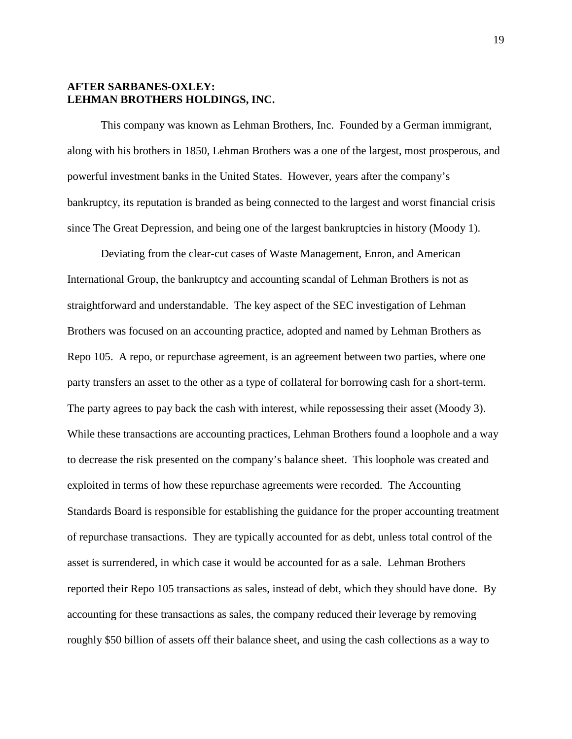# **AFTER SARBANES-OXLEY: LEHMAN BROTHERS HOLDINGS, INC.**

This company was known as Lehman Brothers, Inc. Founded by a German immigrant, along with his brothers in 1850, Lehman Brothers was a one of the largest, most prosperous, and powerful investment banks in the United States. However, years after the company's bankruptcy, its reputation is branded as being connected to the largest and worst financial crisis since The Great Depression, and being one of the largest bankruptcies in history (Moody 1).

Deviating from the clear-cut cases of Waste Management, Enron, and American International Group, the bankruptcy and accounting scandal of Lehman Brothers is not as straightforward and understandable. The key aspect of the SEC investigation of Lehman Brothers was focused on an accounting practice, adopted and named by Lehman Brothers as Repo 105. A repo, or repurchase agreement, is an agreement between two parties, where one party transfers an asset to the other as a type of collateral for borrowing cash for a short-term. The party agrees to pay back the cash with interest, while repossessing their asset (Moody 3). While these transactions are accounting practices, Lehman Brothers found a loophole and a way to decrease the risk presented on the company's balance sheet. This loophole was created and exploited in terms of how these repurchase agreements were recorded. The Accounting Standards Board is responsible for establishing the guidance for the proper accounting treatment of repurchase transactions. They are typically accounted for as debt, unless total control of the asset is surrendered, in which case it would be accounted for as a sale. Lehman Brothers reported their Repo 105 transactions as sales, instead of debt, which they should have done. By accounting for these transactions as sales, the company reduced their leverage by removing roughly \$50 billion of assets off their balance sheet, and using the cash collections as a way to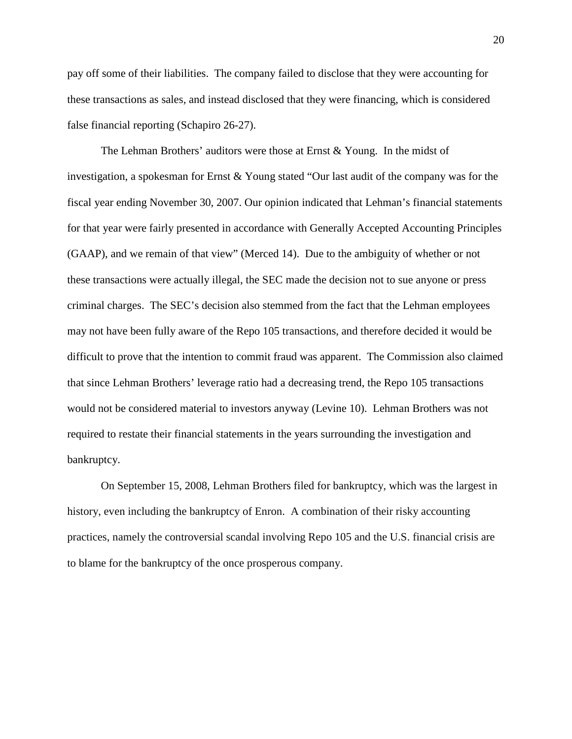pay off some of their liabilities. The company failed to disclose that they were accounting for these transactions as sales, and instead disclosed that they were financing, which is considered false financial reporting (Schapiro 26-27).

The Lehman Brothers' auditors were those at Ernst & Young. In the midst of investigation, a spokesman for Ernst & Young stated "Our last audit of the company was for the fiscal year ending November 30, 2007. Our opinion indicated that Lehman's financial statements for that year were fairly presented in accordance with Generally Accepted Accounting Principles (GAAP), and we remain of that view" (Merced 14). Due to the ambiguity of whether or not these transactions were actually illegal, the SEC made the decision not to sue anyone or press criminal charges. The SEC's decision also stemmed from the fact that the Lehman employees may not have been fully aware of the Repo 105 transactions, and therefore decided it would be difficult to prove that the intention to commit fraud was apparent. The Commission also claimed that since Lehman Brothers' leverage ratio had a decreasing trend, the Repo 105 transactions would not be considered material to investors anyway (Levine 10). Lehman Brothers was not required to restate their financial statements in the years surrounding the investigation and bankruptcy.

On September 15, 2008, Lehman Brothers filed for bankruptcy, which was the largest in history, even including the bankruptcy of Enron. A combination of their risky accounting practices, namely the controversial scandal involving Repo 105 and the U.S. financial crisis are to blame for the bankruptcy of the once prosperous company.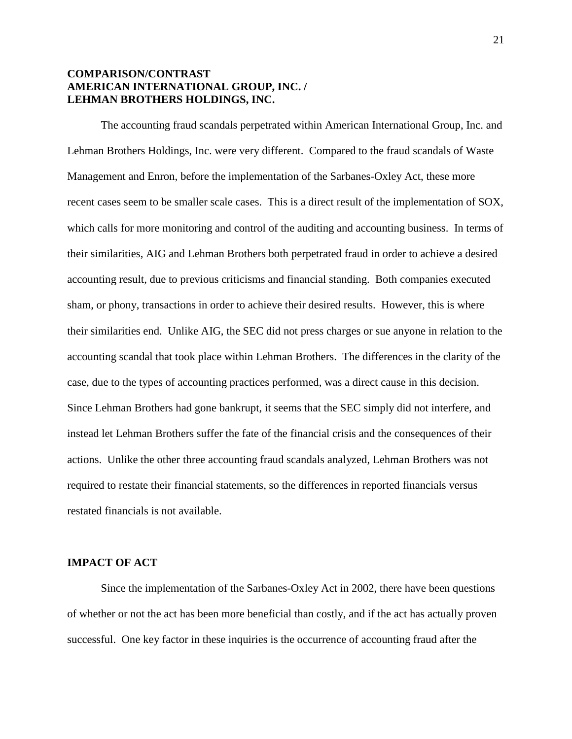# **COMPARISON/CONTRAST AMERICAN INTERNATIONAL GROUP, INC. / LEHMAN BROTHERS HOLDINGS, INC.**

The accounting fraud scandals perpetrated within American International Group, Inc. and Lehman Brothers Holdings, Inc. were very different. Compared to the fraud scandals of Waste Management and Enron, before the implementation of the Sarbanes-Oxley Act, these more recent cases seem to be smaller scale cases. This is a direct result of the implementation of SOX, which calls for more monitoring and control of the auditing and accounting business. In terms of their similarities, AIG and Lehman Brothers both perpetrated fraud in order to achieve a desired accounting result, due to previous criticisms and financial standing. Both companies executed sham, or phony, transactions in order to achieve their desired results. However, this is where their similarities end. Unlike AIG, the SEC did not press charges or sue anyone in relation to the accounting scandal that took place within Lehman Brothers. The differences in the clarity of the case, due to the types of accounting practices performed, was a direct cause in this decision. Since Lehman Brothers had gone bankrupt, it seems that the SEC simply did not interfere, and instead let Lehman Brothers suffer the fate of the financial crisis and the consequences of their actions. Unlike the other three accounting fraud scandals analyzed, Lehman Brothers was not required to restate their financial statements, so the differences in reported financials versus restated financials is not available.

#### **IMPACT OF ACT**

Since the implementation of the Sarbanes-Oxley Act in 2002, there have been questions of whether or not the act has been more beneficial than costly, and if the act has actually proven successful. One key factor in these inquiries is the occurrence of accounting fraud after the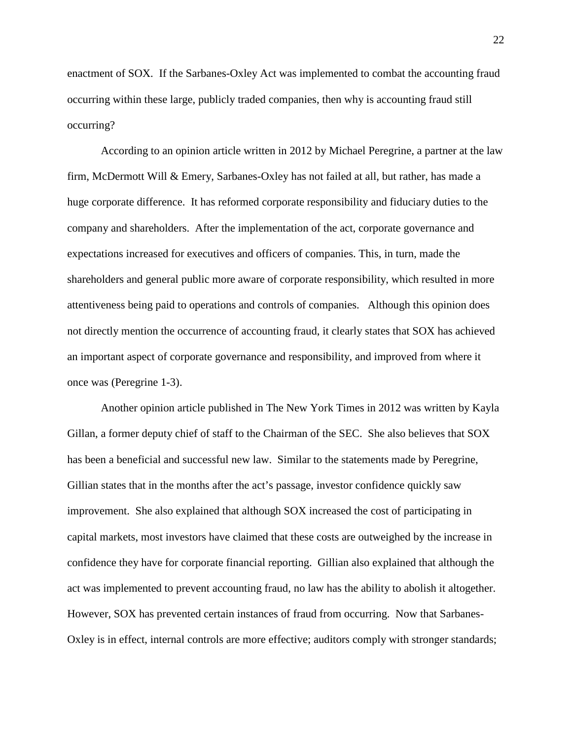enactment of SOX. If the Sarbanes-Oxley Act was implemented to combat the accounting fraud occurring within these large, publicly traded companies, then why is accounting fraud still occurring?

According to an opinion article written in 2012 by Michael Peregrine, a partner at the law firm, McDermott Will & Emery, Sarbanes-Oxley has not failed at all, but rather, has made a huge corporate difference. It has reformed corporate responsibility and fiduciary duties to the company and shareholders. After the implementation of the act, corporate governance and expectations increased for executives and officers of companies. This, in turn, made the shareholders and general public more aware of corporate responsibility, which resulted in more attentiveness being paid to operations and controls of companies. Although this opinion does not directly mention the occurrence of accounting fraud, it clearly states that SOX has achieved an important aspect of corporate governance and responsibility, and improved from where it once was (Peregrine 1-3).

Another opinion article published in The New York Times in 2012 was written by Kayla Gillan, a former deputy chief of staff to the Chairman of the SEC. She also believes that SOX has been a beneficial and successful new law. Similar to the statements made by Peregrine, Gillian states that in the months after the act's passage, investor confidence quickly saw improvement. She also explained that although SOX increased the cost of participating in capital markets, most investors have claimed that these costs are outweighed by the increase in confidence they have for corporate financial reporting. Gillian also explained that although the act was implemented to prevent accounting fraud, no law has the ability to abolish it altogether. However, SOX has prevented certain instances of fraud from occurring. Now that Sarbanes-Oxley is in effect, internal controls are more effective; auditors comply with stronger standards;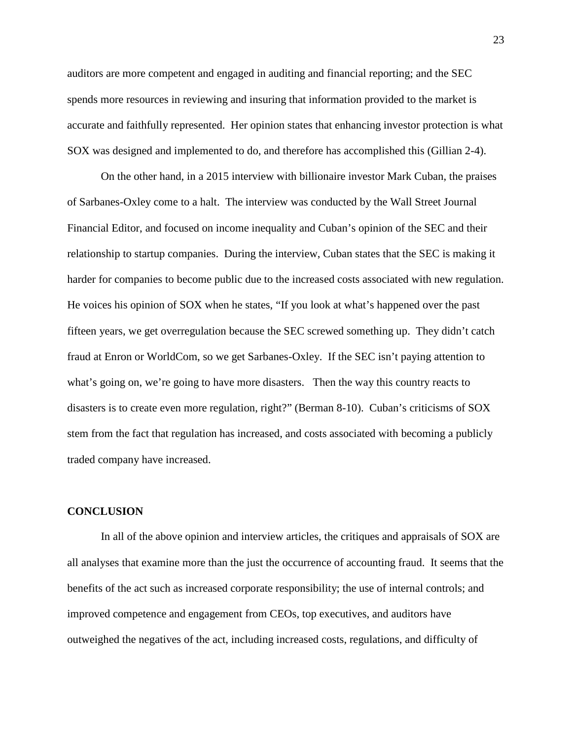auditors are more competent and engaged in auditing and financial reporting; and the SEC spends more resources in reviewing and insuring that information provided to the market is accurate and faithfully represented. Her opinion states that enhancing investor protection is what SOX was designed and implemented to do, and therefore has accomplished this (Gillian 2-4).

On the other hand, in a 2015 interview with billionaire investor Mark Cuban, the praises of Sarbanes-Oxley come to a halt. The interview was conducted by the Wall Street Journal Financial Editor, and focused on income inequality and Cuban's opinion of the SEC and their relationship to startup companies. During the interview, Cuban states that the SEC is making it harder for companies to become public due to the increased costs associated with new regulation. He voices his opinion of SOX when he states, "If you look at what's happened over the past fifteen years, we get overregulation because the SEC screwed something up. They didn't catch fraud at Enron or WorldCom, so we get Sarbanes-Oxley. If the SEC isn't paying attention to what's going on, we're going to have more disasters. Then the way this country reacts to disasters is to create even more regulation, right?" (Berman 8-10). Cuban's criticisms of SOX stem from the fact that regulation has increased, and costs associated with becoming a publicly traded company have increased.

#### **CONCLUSION**

In all of the above opinion and interview articles, the critiques and appraisals of SOX are all analyses that examine more than the just the occurrence of accounting fraud. It seems that the benefits of the act such as increased corporate responsibility; the use of internal controls; and improved competence and engagement from CEOs, top executives, and auditors have outweighed the negatives of the act, including increased costs, regulations, and difficulty of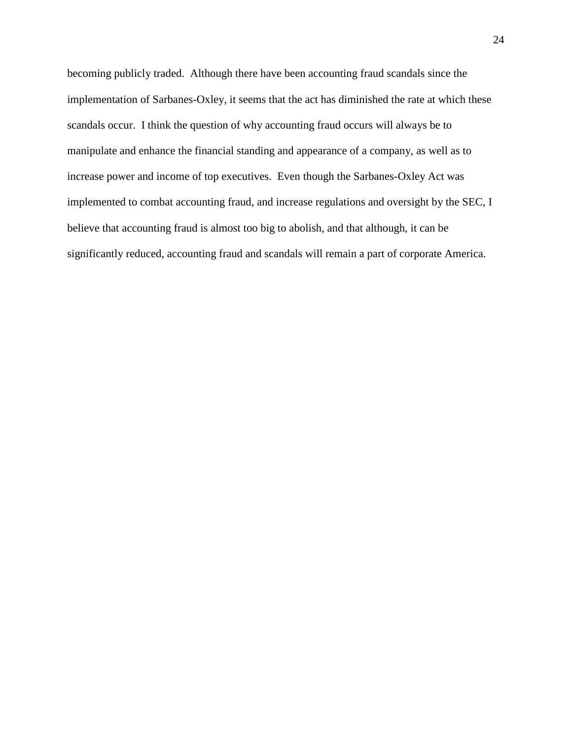becoming publicly traded. Although there have been accounting fraud scandals since the implementation of Sarbanes-Oxley, it seems that the act has diminished the rate at which these scandals occur. I think the question of why accounting fraud occurs will always be to manipulate and enhance the financial standing and appearance of a company, as well as to increase power and income of top executives. Even though the Sarbanes-Oxley Act was implemented to combat accounting fraud, and increase regulations and oversight by the SEC, I believe that accounting fraud is almost too big to abolish, and that although, it can be significantly reduced, accounting fraud and scandals will remain a part of corporate America.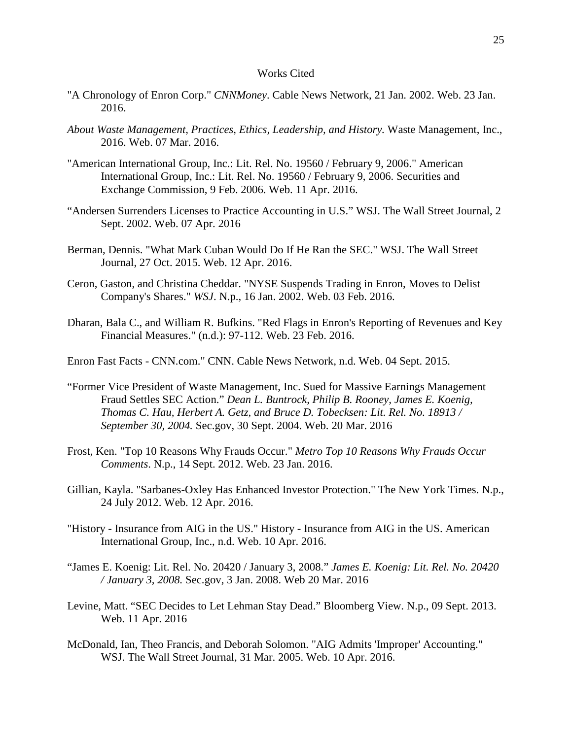#### Works Cited

- "A Chronology of Enron Corp." *CNNMoney*. Cable News Network, 21 Jan. 2002. Web. 23 Jan. 2016.
- *About Waste Management, Practices, Ethics, Leadership, and History.* Waste Management, Inc., 2016. Web. 07 Mar. 2016.
- "American International Group, Inc.: Lit. Rel. No. 19560 / February 9, 2006." American International Group, Inc.: Lit. Rel. No. 19560 / February 9, 2006. Securities and Exchange Commission, 9 Feb. 2006. Web. 11 Apr. 2016.
- "Andersen Surrenders Licenses to Practice Accounting in U.S." WSJ. The Wall Street Journal, 2 Sept. 2002. Web. 07 Apr. 2016
- Berman, Dennis. "What Mark Cuban Would Do If He Ran the SEC." WSJ. The Wall Street Journal, 27 Oct. 2015. Web. 12 Apr. 2016.
- Ceron, Gaston, and Christina Cheddar. "NYSE Suspends Trading in Enron, Moves to Delist Company's Shares." *WSJ*. N.p., 16 Jan. 2002. Web. 03 Feb. 2016.
- Dharan, Bala C., and William R. Bufkins. "Red Flags in Enron's Reporting of Revenues and Key Financial Measures." (n.d.): 97-112. Web. 23 Feb. 2016.
- Enron Fast Facts CNN.com." CNN. Cable News Network, n.d. Web. 04 Sept. 2015.
- "Former Vice President of Waste Management, Inc. Sued for Massive Earnings Management Fraud Settles SEC Action." *Dean L. Buntrock, Philip B. Rooney, James E. Koenig, Thomas C. Hau, Herbert A. Getz, and Bruce D. Tobecksen: Lit. Rel. No. 18913 / September 30, 2004.* Sec.gov, 30 Sept. 2004. Web. 20 Mar. 2016
- Frost, Ken. "Top 10 Reasons Why Frauds Occur." *Metro Top 10 Reasons Why Frauds Occur Comments*. N.p., 14 Sept. 2012. Web. 23 Jan. 2016.
- Gillian, Kayla. "Sarbanes-Oxley Has Enhanced Investor Protection." The New York Times. N.p., 24 July 2012. Web. 12 Apr. 2016.
- "History Insurance from AIG in the US." History Insurance from AIG in the US. American International Group, Inc., n.d. Web. 10 Apr. 2016.
- "James E. Koenig: Lit. Rel. No. 20420 / January 3, 2008." *James E. Koenig: Lit. Rel. No. 20420 / January 3, 2008.* Sec.gov, 3 Jan. 2008. Web 20 Mar. 2016
- Levine, Matt. "SEC Decides to Let Lehman Stay Dead." Bloomberg View. N.p., 09 Sept. 2013. Web. 11 Apr. 2016
- McDonald, Ian, Theo Francis, and Deborah Solomon. "AIG Admits 'Improper' Accounting." WSJ. The Wall Street Journal, 31 Mar. 2005. Web. 10 Apr. 2016.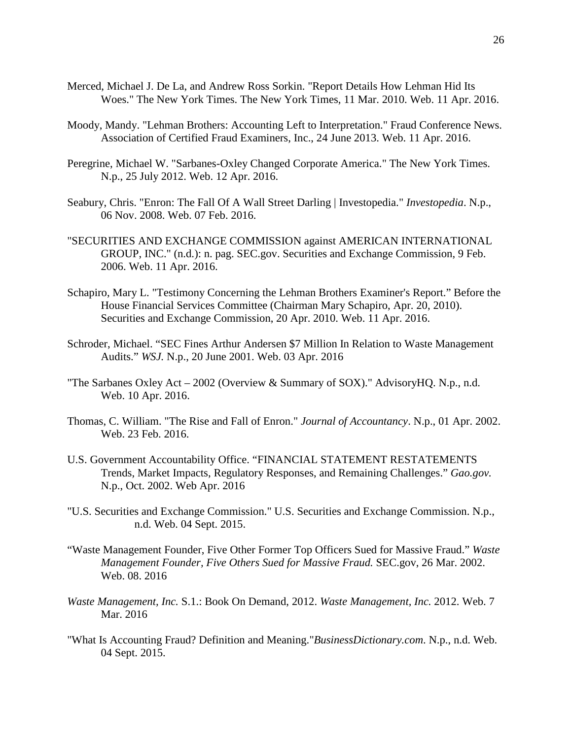- Merced, Michael J. De La, and Andrew Ross Sorkin. "Report Details How Lehman Hid Its Woes." The New York Times. The New York Times, 11 Mar. 2010. Web. 11 Apr. 2016.
- Moody, Mandy. "Lehman Brothers: Accounting Left to Interpretation." Fraud Conference News. Association of Certified Fraud Examiners, Inc., 24 June 2013. Web. 11 Apr. 2016.
- Peregrine, Michael W. "Sarbanes-Oxley Changed Corporate America." The New York Times. N.p., 25 July 2012. Web. 12 Apr. 2016.
- Seabury, Chris. "Enron: The Fall Of A Wall Street Darling | Investopedia." *Investopedia*. N.p., 06 Nov. 2008. Web. 07 Feb. 2016.
- "SECURITIES AND EXCHANGE COMMISSION against AMERICAN INTERNATIONAL GROUP, INC." (n.d.): n. pag. SEC.gov. Securities and Exchange Commission, 9 Feb. 2006. Web. 11 Apr. 2016.
- Schapiro, Mary L. "Testimony Concerning the Lehman Brothers Examiner's Report." Before the House Financial Services Committee (Chairman Mary Schapiro, Apr. 20, 2010). Securities and Exchange Commission, 20 Apr. 2010. Web. 11 Apr. 2016.
- Schroder, Michael. "SEC Fines Arthur Andersen \$7 Million In Relation to Waste Management Audits." *WSJ.* N.p., 20 June 2001. Web. 03 Apr. 2016
- "The Sarbanes Oxley Act 2002 (Overview & Summary of SOX)." AdvisoryHQ. N.p., n.d. Web. 10 Apr. 2016.
- Thomas, C. William. "The Rise and Fall of Enron." *Journal of Accountancy*. N.p., 01 Apr. 2002. Web. 23 Feb. 2016.
- U.S. Government Accountability Office. "FINANCIAL STATEMENT RESTATEMENTS Trends, Market Impacts, Regulatory Responses, and Remaining Challenges." *Gao.gov.* N.p., Oct. 2002. Web Apr. 2016
- "U.S. Securities and Exchange Commission." U.S. Securities and Exchange Commission. N.p., n.d. Web. 04 Sept. 2015.
- "Waste Management Founder, Five Other Former Top Officers Sued for Massive Fraud." *Waste Management Founder, Five Others Sued for Massive Fraud.* SEC.gov, 26 Mar. 2002. Web. 08. 2016
- *Waste Management, Inc.* S.1.: Book On Demand, 2012. *Waste Management, Inc.* 2012. Web. 7 Mar. 2016
- "What Is Accounting Fraud? Definition and Meaning."*BusinessDictionary.com*. N.p., n.d. Web. 04 Sept. 2015.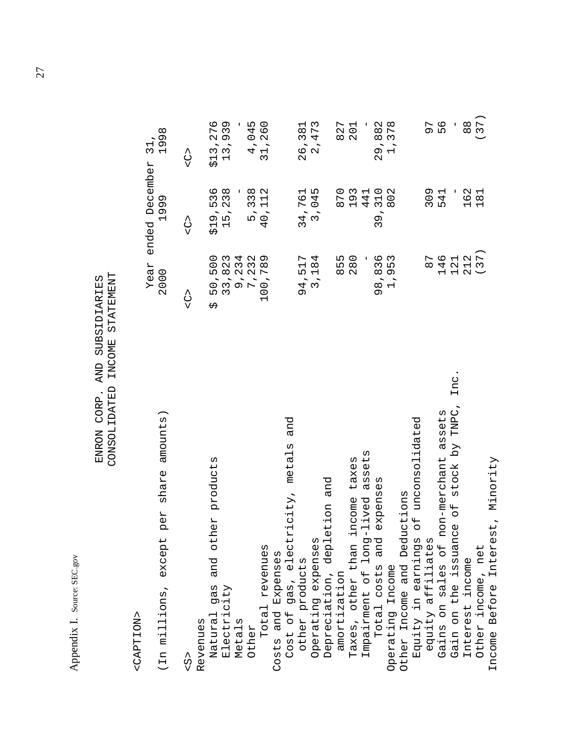Appendix I. Source: SEC.gov Appendix I. Source: SEC.gov

# ENRON CORP. AND SUBSIDIARIES<br>CONSOLIDATED INCOME STATEMENT CONSOLIDATED INCOME STATEMENT ENRON CORP. AND SUBSIDIARIES

<CAPTION> <CAPTION>

|                                                                   | Year                                                        | December<br>ended                                                                                 | $\vdash$<br>m H                                                          |
|-------------------------------------------------------------------|-------------------------------------------------------------|---------------------------------------------------------------------------------------------------|--------------------------------------------------------------------------|
| amounts)<br>share<br>per<br>(In millions, except                  | 2000                                                        | Ō<br>199                                                                                          | $\infty$<br>$\overline{\phantom{a}}$<br>$\circ$                          |
| $\frac{2}{5}$                                                     | C<br>V                                                      | C<br>V                                                                                            | C<br>V                                                                   |
| Revenues                                                          |                                                             |                                                                                                   |                                                                          |
| products<br>ΗG<br>othe<br>and<br>gas<br>Natural                   | 0<br>0<br>ι∩<br>₩                                           | ৩<br>ო<br>Б<br>ŕ<br>Ō<br>Н<br>᠊ᡃ                                                                  | ৩<br>$\mathbf{\Omega}$<br>$\overline{\phantom{0}}$<br>ひ                  |
| Electricity                                                       | $\omega$<br>$\mathbf{\Omega}$<br>$\infty$<br>5<br>5<br>5    | $\infty$<br>$\epsilon$<br>$\mathbf{\Omega}$<br>$\overline{5}$<br>$\overline{\phantom{0}}$         | ന<br>3<br>$\sigma$<br>ო ო<br>$\overline{\phantom{0}}$                    |
| Metals                                                            | w w                                                         | ı                                                                                                 | T                                                                        |
| Other                                                             | 4 U V<br>$\alpha$<br>c<br>nor<br>c                          | $^\infty$<br>Μ<br>Μ<br>ŕ<br>ъ                                                                     | ഥ<br>4<br>0<br>۰<br>4                                                    |
| Total revenues                                                    | $\infty$<br>.74<br>$\circ$<br>$\overline{C}$                | $\sim$<br>$\overline{\phantom{0}}$<br>$\overline{\phantom{0}}$<br>$\circ$<br>4                    | $\circ$<br>$\circ$<br>$\mathbf{\Omega}$<br>$\overline{\phantom{0}}$<br>S |
| Costs and Expenses                                                |                                                             |                                                                                                   |                                                                          |
| and<br>icity, metals<br>Cost of gas, electr                       |                                                             |                                                                                                   |                                                                          |
| other products                                                    | $\overline{\mathbf{t}}$<br>LN.<br>Ō                         | ৩<br>4, 7<br>Σ                                                                                    | $\infty$<br>6, 3<br>$\mathbf{\Omega}$                                    |
| Operating expenses                                                | レ4<br>$\infty$<br>$\overline{\phantom{0}}$<br>$\frac{4}{3}$ | ⊣ ம<br>04<br>$\tilde{s}$                                                                          | പ സ<br>$\overline{ }$<br>2, 4                                            |
| and<br>Depreciation, depletion                                    |                                                             |                                                                                                   |                                                                          |
| amortization                                                      | m<br>$\infty$                                               | $\circ$<br>$\overline{ }$<br>$\infty$                                                             | ∼<br>$\mathbf{\Omega}$<br>$\infty$                                       |
| taxes<br>ncome<br>Taxes, other than i                             | ທ ໐<br>$\overline{28}$                                      | $\begin{array}{c} \mathcal{M} \\ \mathcal{M} \end{array}$<br>$\sigma$<br>$\overline{\phantom{0}}$ | $\overline{\phantom{0}}$<br>$\overline{2}$                               |
| assets<br>lived<br>Impairment of long-                            | ı.                                                          | 4<br>4                                                                                            | ı.                                                                       |
| expenses<br>Total costs and                                       | m Q<br>m m<br>$\infty$<br>$\ddot{\phantom{0}}$<br>9<br>00 H | $\overline{\phantom{0}}$<br>$\sim$<br>$\ddot{\phantom{0}}$<br>Ó<br>3                              | $\sim$ $\infty$<br>×,<br>$\sigma$ $\tau$<br>$\mathbf{\Omega}$            |
| Operating Income                                                  | G<br>×,                                                     | $\circ$<br>$\infty$                                                                               | 88<br>37                                                                 |
| Other Income and Deductions                                       |                                                             |                                                                                                   |                                                                          |
| unconsolidated<br>$\overline{C}$<br>Equity in earnings            |                                                             |                                                                                                   |                                                                          |
| equity affiliates                                                 | ∼<br>$\infty$                                               | 0                                                                                                 | ⊳<br>ጣ                                                                   |
| assets<br>Gains on sales of non-merchant                          | 4<br>$\overline{\phantom{0}}$                               | െ ⊣<br>4<br>m m                                                                                   | $\circ$<br>LO                                                            |
| Inc<br>TNPC<br>stock by<br>$\overline{C}$<br>Gain on the issuance | $O \vdash N \vdash$<br>$\sim$<br>$\overline{a}$             | $\mathbf{I}$                                                                                      | $\mathbf{I}$                                                             |
| Interest income                                                   | $\overline{\phantom{0}}$                                    | ဖ<br>$\overline{\phantom{0}}$                                                                     | $\infty$<br>$^\infty$                                                    |
| Other income, net                                                 | 3                                                           | $\sim$ $\overline{ }$<br>$\infty$<br>$\overline{\phantom{0}}$                                     | $\overline{ }$<br>$\infty$                                               |
| Minority<br>Income Before Interest,                               |                                                             |                                                                                                   |                                                                          |